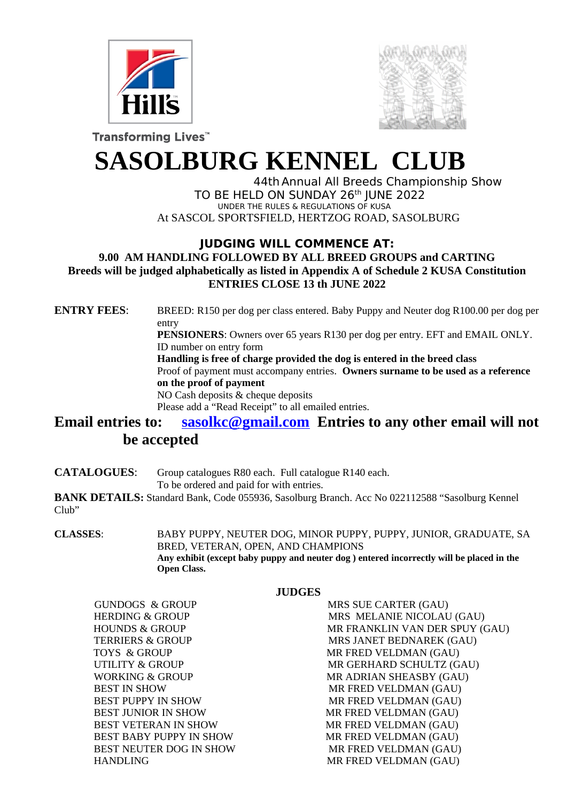



Transforming Lives<sup>"</sup>

# **SASOLBURG KENNEL CLUB**

44thAnnual All Breeds Championship Show TO BE HELD ON SUNDAY 26<sup>th</sup> JUNE 2022 UNDER THE RULES & REGULATIONS OF KUSA At SASCOL SPORTSFIELD, HERTZOG ROAD, SASOLBURG

## **JUDGING WILL COMMENCE AT:**

**9.00 AM HANDLING FOLLOWED BY ALL BREED GROUPS and CARTING Breeds will be judged alphabetically as listed in Appendix A of Schedule 2 KUSA Constitution ENTRIES CLOSE 13 th JUNE 2022** 

**ENTRY FEES**: BREED: R150 per dog per class entered. Baby Puppy and Neuter dog R100.00 per dog per entry **PENSIONERS**: Owners over 65 years R130 per dog per entry. EFT and EMAIL ONLY.

ID number on entry form

 **Handling is free of charge provided the dog is entered in the breed class**

Proof of payment must accompany entries. **Owners surname to be used as a reference on the proof of payment**

NO Cash deposits & cheque deposits Please add a "Read Receipt" to all emailed entries.

# **Email entries to: [sasolkc@gmail.com](mailto:sasolkc@gmail.com) Entries to any other email will not be accepted**

**CATALOGUES**: Group catalogues R80 each. Full catalogue R140 each.

To be ordered and paid for with entries.

**BANK DETAILS:** Standard Bank, Code 055936, Sasolburg Branch. Acc No 022112588 "Sasolburg Kennel Club"

**CLASSES**: BABY PUPPY, NEUTER DOG, MINOR PUPPY, PUPPY, JUNIOR, GRADUATE, SA BRED, VETERAN, OPEN, AND CHAMPIONS **Any exhibit (except baby puppy and neuter dog ) entered incorrectly will be placed in the Open Class.** 

### **JUDGES**

GUNDOGS & GROUP MRS SUE CARTER (GAU) TOYS & GROUP **MR FRED VELDMAN (GAU)** BEST IN SHOW **MR FRED VELDMAN (GAU)** BEST PUPPY IN SHOW **MR FRED VELDMAN (GAU)** BEST JUNIOR IN SHOW MR FRED VELDMAN (GAU) BEST VETERAN IN SHOW **MR FRED VELDMAN (GAU)**  BEST BABY PUPPY IN SHOW MR FRED VELDMAN (GAU) BEST NEUTER DOG IN SHOW MR FRED VELDMAN (GAU) HANDLING MR FRED VELDMAN (GAU)

HERDING & GROUP MRS MELANIE NICOLAU (GAU) HOUNDS & GROUP **MR FRANKLIN VAN DER SPUY (GAU)** TERRIERS & GROUP MRS JANET BEDNAREK (GAU) UTILITY & GROUP **MR GERHARD SCHULTZ** (GAU) WORKING & GROUP **MR ADRIAN SHEASBY** (GAU)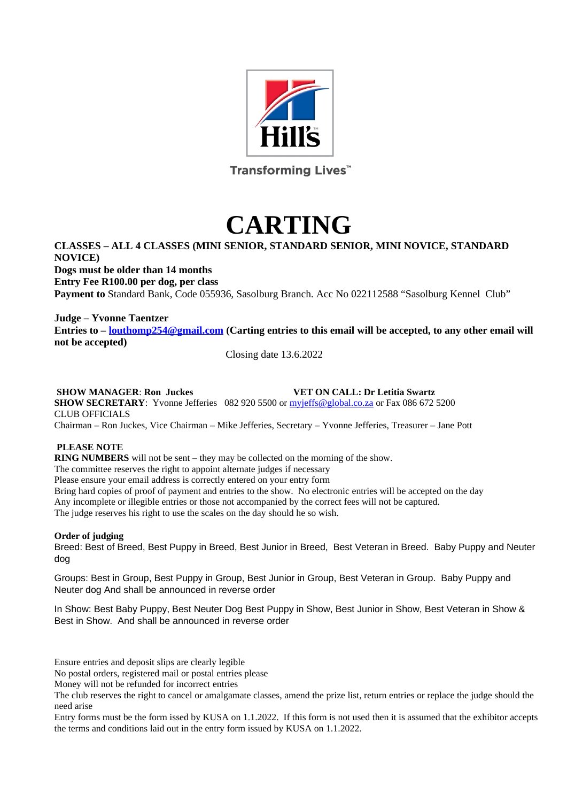

Transforming Lives<sup>"</sup>

# **CARTING**

## **CLASSES – ALL 4 CLASSES (MINI SENIOR, STANDARD SENIOR, MINI NOVICE, STANDARD NOVICE)**

**Dogs must be older than 14 months Entry Fee R100.00 per dog, per class Payment to** Standard Bank, Code 055936, Sasolburg Branch. Acc No 022112588 "Sasolburg Kennel Club"

**Judge – Yvonne Taentzer Entries to – [louthomp254@gmail.com](mailto:louthomp254@gmail.com) (Carting entries to this email will be accepted, to any other email will not be accepted)**

Closing date 13.6.2022

#### **SHOW MANAGER**: **Ron Juckes VET ON CALL: Dr Letitia Swartz**

**SHOW SECRETARY**: Yvonne Jefferies 082 920 5500 or [myjeffs@global.co.za](mailto:myjeffs@global.co.za) or Fax 086 672 5200 CLUB OFFICIALS Chairman – Ron Juckes, Vice Chairman – Mike Jefferies, Secretary – Yvonne Jefferies, Treasurer – Jane Pott

#### **PLEASE NOTE**

**RING NUMBERS** will not be sent – they may be collected on the morning of the show. The committee reserves the right to appoint alternate judges if necessary Please ensure your email address is correctly entered on your entry form Bring hard copies of proof of payment and entries to the show. No electronic entries will be accepted on the day Any incomplete or illegible entries or those not accompanied by the correct fees will not be captured. The judge reserves his right to use the scales on the day should he so wish.

#### **Order of judging**

Breed: Best of Breed, Best Puppy in Breed, Best Junior in Breed, Best Veteran in Breed. Baby Puppy and Neuter dog

Groups: Best in Group, Best Puppy in Group, Best Junior in Group, Best Veteran in Group. Baby Puppy and Neuter dog And shall be announced in reverse order

In Show: Best Baby Puppy, Best Neuter Dog Best Puppy in Show, Best Junior in Show, Best Veteran in Show & Best in Show. And shall be announced in reverse order

Ensure entries and deposit slips are clearly legible

No postal orders, registered mail or postal entries please

Money will not be refunded for incorrect entries

The club reserves the right to cancel or amalgamate classes, amend the prize list, return entries or replace the judge should the need arise

Entry forms must be the form issed by KUSA on 1.1.2022. If this form is not used then it is assumed that the exhibitor accepts the terms and conditions laid out in the entry form issued by KUSA on 1.1.2022.